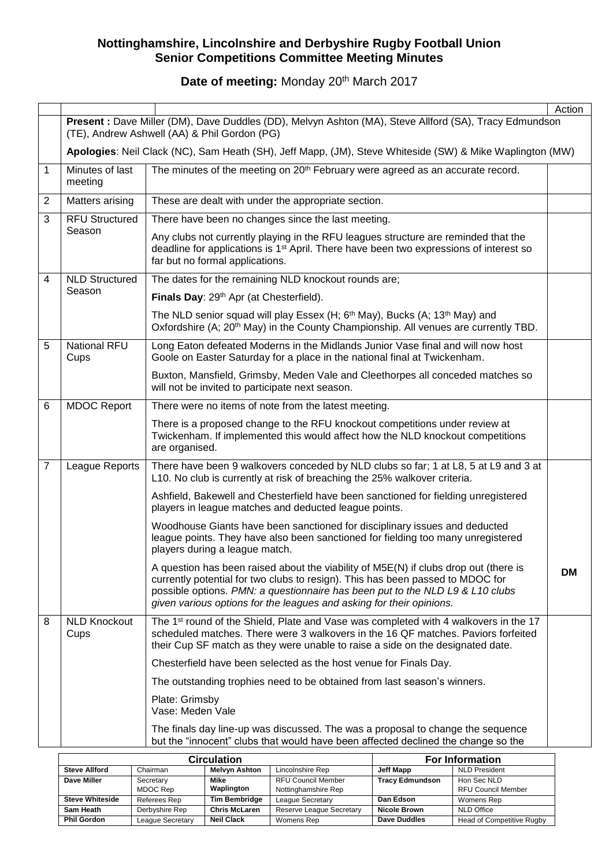Date of meeting: Monday 20<sup>th</sup> March 2017

|                |                                                                                                                                                        |                                                                                                                                                                                                                                                                                                                                 | Action    |  |  |
|----------------|--------------------------------------------------------------------------------------------------------------------------------------------------------|---------------------------------------------------------------------------------------------------------------------------------------------------------------------------------------------------------------------------------------------------------------------------------------------------------------------------------|-----------|--|--|
|                | Present : Dave Miller (DM), Dave Duddles (DD), Melvyn Ashton (MA), Steve Allford (SA), Tracy Edmundson<br>(TE), Andrew Ashwell (AA) & Phil Gordon (PG) |                                                                                                                                                                                                                                                                                                                                 |           |  |  |
|                |                                                                                                                                                        | Apologies: Neil Clack (NC), Sam Heath (SH), Jeff Mapp, (JM), Steve Whiteside (SW) & Mike Waplington (MW)                                                                                                                                                                                                                        |           |  |  |
| 1              | Minutes of last<br>meeting                                                                                                                             | The minutes of the meeting on 20 <sup>th</sup> February were agreed as an accurate record.                                                                                                                                                                                                                                      |           |  |  |
| $\overline{2}$ | Matters arising                                                                                                                                        | These are dealt with under the appropriate section.                                                                                                                                                                                                                                                                             |           |  |  |
| 3              | <b>RFU Structured</b>                                                                                                                                  | There have been no changes since the last meeting.                                                                                                                                                                                                                                                                              |           |  |  |
|                | Season                                                                                                                                                 | Any clubs not currently playing in the RFU leagues structure are reminded that the<br>deadline for applications is 1 <sup>st</sup> April. There have been two expressions of interest so<br>far but no formal applications.                                                                                                     |           |  |  |
| 4              | <b>NLD Structured</b>                                                                                                                                  | The dates for the remaining NLD knockout rounds are;                                                                                                                                                                                                                                                                            |           |  |  |
|                | Season                                                                                                                                                 | Finals Day: 29th Apr (at Chesterfield).                                                                                                                                                                                                                                                                                         |           |  |  |
|                |                                                                                                                                                        | The NLD senior squad will play Essex (H; 6 <sup>th</sup> May), Bucks (A; 13 <sup>th</sup> May) and<br>Oxfordshire (A; 20 <sup>th</sup> May) in the County Championship. All venues are currently TBD.                                                                                                                           |           |  |  |
| 5              | <b>National RFU</b><br>Cups                                                                                                                            | Long Eaton defeated Moderns in the Midlands Junior Vase final and will now host<br>Goole on Easter Saturday for a place in the national final at Twickenham.                                                                                                                                                                    |           |  |  |
|                |                                                                                                                                                        | Buxton, Mansfield, Grimsby, Meden Vale and Cleethorpes all conceded matches so<br>will not be invited to participate next season.                                                                                                                                                                                               |           |  |  |
| 6              | <b>MDOC Report</b>                                                                                                                                     | There were no items of note from the latest meeting.                                                                                                                                                                                                                                                                            |           |  |  |
|                |                                                                                                                                                        | There is a proposed change to the RFU knockout competitions under review at<br>Twickenham. If implemented this would affect how the NLD knockout competitions<br>are organised.                                                                                                                                                 |           |  |  |
| $\overline{7}$ | League Reports                                                                                                                                         | There have been 9 walkovers conceded by NLD clubs so far; 1 at L8, 5 at L9 and 3 at<br>L10. No club is currently at risk of breaching the 25% walkover criteria.                                                                                                                                                                |           |  |  |
|                |                                                                                                                                                        | Ashfield, Bakewell and Chesterfield have been sanctioned for fielding unregistered<br>players in league matches and deducted league points.                                                                                                                                                                                     |           |  |  |
|                |                                                                                                                                                        | Woodhouse Giants have been sanctioned for disciplinary issues and deducted<br>league points. They have also been sanctioned for fielding too many unregistered<br>players during a league match.                                                                                                                                |           |  |  |
|                |                                                                                                                                                        | A question has been raised about the viability of M5E(N) if clubs drop out (there is<br>currently potential for two clubs to resign). This has been passed to MDOC for<br>possible options. PMN: a questionnaire has been put to the NLD L9 & L10 clubs<br>given various options for the leagues and asking for their opinions. | <b>DM</b> |  |  |
| 8              | <b>NLD Knockout</b><br>Cups                                                                                                                            | The 1 <sup>st</sup> round of the Shield, Plate and Vase was completed with 4 walkovers in the 17<br>scheduled matches. There were 3 walkovers in the 16 QF matches. Paviors forfeited<br>their Cup SF match as they were unable to raise a side on the designated date.                                                         |           |  |  |
|                |                                                                                                                                                        | Chesterfield have been selected as the host venue for Finals Day.                                                                                                                                                                                                                                                               |           |  |  |
|                |                                                                                                                                                        | The outstanding trophies need to be obtained from last season's winners.                                                                                                                                                                                                                                                        |           |  |  |
|                |                                                                                                                                                        | Plate: Grimsby<br>Vase: Meden Vale                                                                                                                                                                                                                                                                                              |           |  |  |
|                |                                                                                                                                                        | The finals day line-up was discussed. The was a proposal to change the sequence<br>but the "innocent" clubs that would have been affected declined the change so the                                                                                                                                                            |           |  |  |

|                        | <b>Circulation</b> |                      | <b>For Information</b>    |                        |                                  |
|------------------------|--------------------|----------------------|---------------------------|------------------------|----------------------------------|
| <b>Steve Allford</b>   | Chairman           | <b>Melvyn Ashton</b> | Lincolnshire Rep          | Jeff Mapp              | <b>NLD President</b>             |
| Dave Miller            | Secretary          | Mike                 | <b>RFU Council Member</b> | <b>Tracy Edmundson</b> | Hon Sec NLD                      |
|                        | MDOC Rep           | Waplington           | Nottinghamshire Rep       |                        | <b>RFU Council Member</b>        |
| <b>Steve Whiteside</b> | Referees Rep       | <b>Tim Bembridge</b> | League Secretary          | Dan Edson              | Womens Rep                       |
| Sam Heath              | Derbyshire Rep     | <b>Chris McLaren</b> | Reserve League Secretary  | <b>Nicole Brown</b>    | <b>NLD Office</b>                |
| <b>Phil Gordon</b>     | League Secretary   | <b>Neil Clack</b>    | Womens Rep                | <b>Dave Duddles</b>    | <b>Head of Competitive Rugby</b> |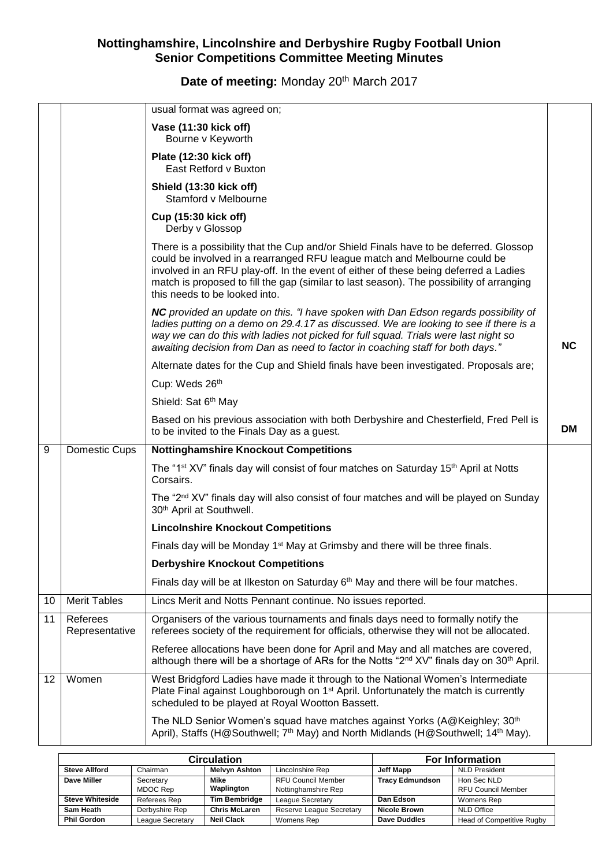# Date of meeting: Monday 20<sup>th</sup> March 2017

|    |                            | usual format was agreed on;                                                                                                                                                                                                                                                                                                                                                             |           |
|----|----------------------------|-----------------------------------------------------------------------------------------------------------------------------------------------------------------------------------------------------------------------------------------------------------------------------------------------------------------------------------------------------------------------------------------|-----------|
|    |                            | Vase (11:30 kick off)<br>Bourne v Keyworth                                                                                                                                                                                                                                                                                                                                              |           |
|    |                            | Plate (12:30 kick off)<br>East Retford v Buxton                                                                                                                                                                                                                                                                                                                                         |           |
|    |                            | Shield (13:30 kick off)<br>Stamford v Melbourne                                                                                                                                                                                                                                                                                                                                         |           |
|    |                            | Cup (15:30 kick off)<br>Derby v Glossop                                                                                                                                                                                                                                                                                                                                                 |           |
|    |                            | There is a possibility that the Cup and/or Shield Finals have to be deferred. Glossop<br>could be involved in a rearranged RFU league match and Melbourne could be<br>involved in an RFU play-off. In the event of either of these being deferred a Ladies<br>match is proposed to fill the gap (similar to last season). The possibility of arranging<br>this needs to be looked into. |           |
|    |                            | NC provided an update on this. "I have spoken with Dan Edson regards possibility of<br>ladies putting on a demo on 29.4.17 as discussed. We are looking to see if there is a<br>way we can do this with ladies not picked for full squad. Trials were last night so<br>awaiting decision from Dan as need to factor in coaching staff for both days."                                   | <b>NC</b> |
|    |                            | Alternate dates for the Cup and Shield finals have been investigated. Proposals are;                                                                                                                                                                                                                                                                                                    |           |
|    |                            | Cup: Weds 26th                                                                                                                                                                                                                                                                                                                                                                          |           |
|    |                            | Shield: Sat 6th May                                                                                                                                                                                                                                                                                                                                                                     |           |
|    |                            | Based on his previous association with both Derbyshire and Chesterfield, Fred Pell is<br>to be invited to the Finals Day as a guest.                                                                                                                                                                                                                                                    | DM        |
| 9  | Domestic Cups              | <b>Nottinghamshire Knockout Competitions</b>                                                                                                                                                                                                                                                                                                                                            |           |
|    |                            | The "1 <sup>st</sup> XV" finals day will consist of four matches on Saturday 15 <sup>th</sup> April at Notts<br>Corsairs.                                                                                                                                                                                                                                                               |           |
|    |                            | The "2 <sup>nd</sup> XV" finals day will also consist of four matches and will be played on Sunday<br>30 <sup>th</sup> April at Southwell.                                                                                                                                                                                                                                              |           |
|    |                            | <b>Lincolnshire Knockout Competitions</b>                                                                                                                                                                                                                                                                                                                                               |           |
|    |                            | Finals day will be Monday 1 <sup>st</sup> May at Grimsby and there will be three finals.                                                                                                                                                                                                                                                                                                |           |
|    |                            | <b>Derbyshire Knockout Competitions</b>                                                                                                                                                                                                                                                                                                                                                 |           |
|    |                            | Finals day will be at Ilkeston on Saturday $6th$ May and there will be four matches.                                                                                                                                                                                                                                                                                                    |           |
| 10 | <b>Merit Tables</b>        | Lincs Merit and Notts Pennant continue. No issues reported.                                                                                                                                                                                                                                                                                                                             |           |
| 11 | Referees<br>Representative | Organisers of the various tournaments and finals days need to formally notify the<br>referees society of the requirement for officials, otherwise they will not be allocated.                                                                                                                                                                                                           |           |
|    |                            | Referee allocations have been done for April and May and all matches are covered,<br>although there will be a shortage of ARs for the Notts "2 <sup>nd</sup> XV" finals day on 30 <sup>th</sup> April.                                                                                                                                                                                  |           |
| 12 | Women                      | West Bridgford Ladies have made it through to the National Women's Intermediate<br>Plate Final against Loughborough on 1 <sup>st</sup> April. Unfortunately the match is currently<br>scheduled to be played at Royal Wootton Bassett.                                                                                                                                                  |           |
|    |                            | The NLD Senior Women's squad have matches against Yorks (A@Keighley; 30 <sup>th</sup><br>April), Staffs (H@Southwell; 7 <sup>th</sup> May) and North Midlands (H@Southwell; 14 <sup>th</sup> May).                                                                                                                                                                                      |           |

|                        | <b>Circulation</b> |                      | <b>For Information</b>    |                        |                           |
|------------------------|--------------------|----------------------|---------------------------|------------------------|---------------------------|
| <b>Steve Allford</b>   | Chairman           | <b>Melvyn Ashton</b> | Lincolnshire Rep          | Jeff Mapp              | <b>NLD President</b>      |
| Dave Miller            | Secretary          | Mike                 | <b>RFU Council Member</b> | <b>Tracy Edmundson</b> | Hon Sec NLD               |
|                        | MDOC Rep           | Waplington           | Nottinghamshire Rep       |                        | <b>RFU Council Member</b> |
| <b>Steve Whiteside</b> | Referees Rep       | <b>Tim Bembridge</b> | League Secretary          | Dan Edson              | Womens Rep                |
| Sam Heath              | Derbyshire Rep     | <b>Chris McLaren</b> | Reserve League Secretary  | <b>Nicole Brown</b>    | <b>NLD Office</b>         |
| <b>Phil Gordon</b>     | League Secretary   | <b>Neil Clack</b>    | Womens Rep                | Dave Duddles           | Head of Competitive Rugby |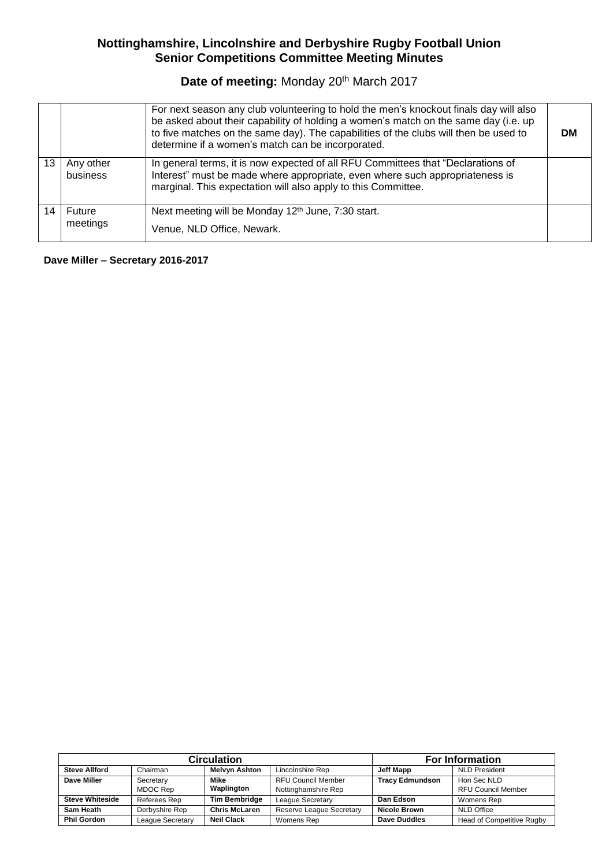## Date of meeting: Monday 20<sup>th</sup> March 2017

|                       | For next season any club volunteering to hold the men's knockout finals day will also<br>be asked about their capability of holding a women's match on the same day (i.e. up<br>to five matches on the same day). The capabilities of the clubs will then be used to<br>determine if a women's match can be incorporated. | DМ |
|-----------------------|---------------------------------------------------------------------------------------------------------------------------------------------------------------------------------------------------------------------------------------------------------------------------------------------------------------------------|----|
| Any other<br>business | In general terms, it is now expected of all RFU Committees that "Declarations of<br>Interest" must be made where appropriate, even where such appropriateness is<br>marginal. This expectation will also apply to this Committee.                                                                                         |    |
| Future<br>meetings    | Next meeting will be Monday 12 <sup>th</sup> June, 7:30 start.<br>Venue, NLD Office, Newark.                                                                                                                                                                                                                              |    |

**Dave Miller – Secretary 2016-2017**

|                        | <b>Circulation</b> |                      | <b>For Information</b>          |                        |                           |
|------------------------|--------------------|----------------------|---------------------------------|------------------------|---------------------------|
| <b>Steve Allford</b>   | Chairman           | <b>Melvyn Ashton</b> | Lincolnshire Rep                | Jeff Mapp              | <b>NLD President</b>      |
| Dave Miller            | Secretary          | Mike                 | <b>RFU Council Member</b>       | <b>Tracy Edmundson</b> | Hon Sec NLD               |
|                        | MDOC Rep           | Waplington           | Nottinghamshire Rep             |                        | <b>RFU Council Member</b> |
| <b>Steve Whiteside</b> | Referees Rep       | <b>Tim Bembridge</b> | League Secretary                | Dan Edson              | Womens Rep                |
| Sam Heath              | Derbyshire Rep     | <b>Chris McLaren</b> | <b>Reserve League Secretary</b> | <b>Nicole Brown</b>    | NLD Office                |
| <b>Phil Gordon</b>     | League Secretary   | <b>Neil Clack</b>    | Womens Rep                      | <b>Dave Duddles</b>    | Head of Competitive Rugby |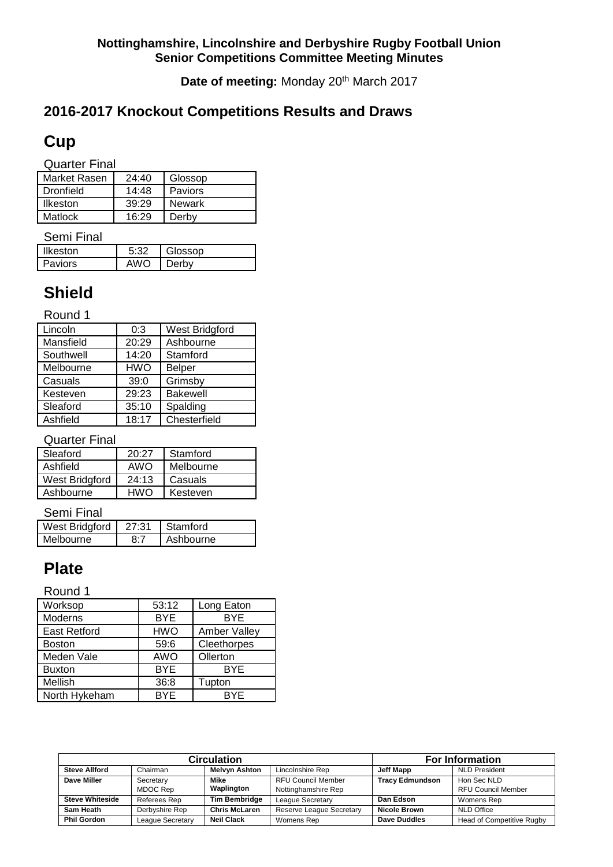Date of meeting: Monday 20<sup>th</sup> March 2017

# **2016-2017 Knockout Competitions Results and Draws**

# **Cup**

Quarter Final

| Market Rasen     | 24:40 | Glossop |
|------------------|-------|---------|
| <b>Dronfield</b> | 14:48 | Paviors |
| Ilkeston         | 39:29 | Newark  |
| Matlock          | 16.29 | Derby   |

Semi Final

| <b>Ilkeston</b> | ふふつ | Glossop |
|-----------------|-----|---------|
| <b>Paviors</b>  | AWO | )erbv   |

# **Shield**

Round 1

| 0:3        | West Bridgford  |
|------------|-----------------|
| 20:29      | Ashbourne       |
| 14:20      | Stamford        |
| <b>HWO</b> | <b>Belper</b>   |
| 39:0       | Grimsby         |
| 29:23      | <b>Bakewell</b> |
| 35:10      | Spalding        |
| 18:17      | Chesterfield    |
|            |                 |

Quarter Final

| Sleaford       | 20:27 | Stamford  |
|----------------|-------|-----------|
|                |       |           |
| Ashfield       | AWO   | Melbourne |
|                |       |           |
| West Bridgford | 24:13 | Casuals   |
|                |       |           |
|                | HWO   |           |
| Ashbourne      |       | Kesteven  |
|                |       |           |

#### Semi Final

| West Bridgford | 27:31 | Stamford  |
|----------------|-------|-----------|
| Melbourne      |       | Ashbourne |

# **Plate**

#### Round 1

| Worksop             | 53:12      | Long Eaton   |
|---------------------|------------|--------------|
| Moderns             | <b>BYE</b> | <b>BYE</b>   |
| <b>East Retford</b> | <b>HWO</b> | Amber Valley |
| <b>Boston</b>       | 59:6       | Cleethorpes  |
| Meden Vale          | AWO        | Ollerton     |
| <b>Buxton</b>       | <b>BYE</b> | <b>BYE</b>   |
| Mellish             | 36:8       | Tupton       |
| North Hykeham       | BYE        | <b>BYE</b>   |

|                        | <b>Circulation</b>     | <b>For Information</b> |                           |                        |                           |  |
|------------------------|------------------------|------------------------|---------------------------|------------------------|---------------------------|--|
| <b>Steve Allford</b>   | Chairman               | <b>Melvyn Ashton</b>   | Lincolnshire Rep          | Jeff Mapp              | <b>NLD President</b>      |  |
| Dave Miller            | Secretary              | Mike                   | <b>RFU Council Member</b> | <b>Tracy Edmundson</b> | Hon Sec NLD               |  |
|                        | Waplington<br>MDOC Rep |                        | Nottinghamshire Rep       |                        | <b>RFU Council Member</b> |  |
| <b>Steve Whiteside</b> | Referees Rep           | <b>Tim Bembridge</b>   | League Secretary          | Dan Edson              | Womens Rep                |  |
| Sam Heath              | Derbyshire Rep         | <b>Chris McLaren</b>   | Reserve League Secretary  | <b>Nicole Brown</b>    | <b>NLD Office</b>         |  |
| <b>Phil Gordon</b>     | League Secretary       | <b>Neil Clack</b>      | Womens Rep                | <b>Dave Duddles</b>    | Head of Competitive Rugby |  |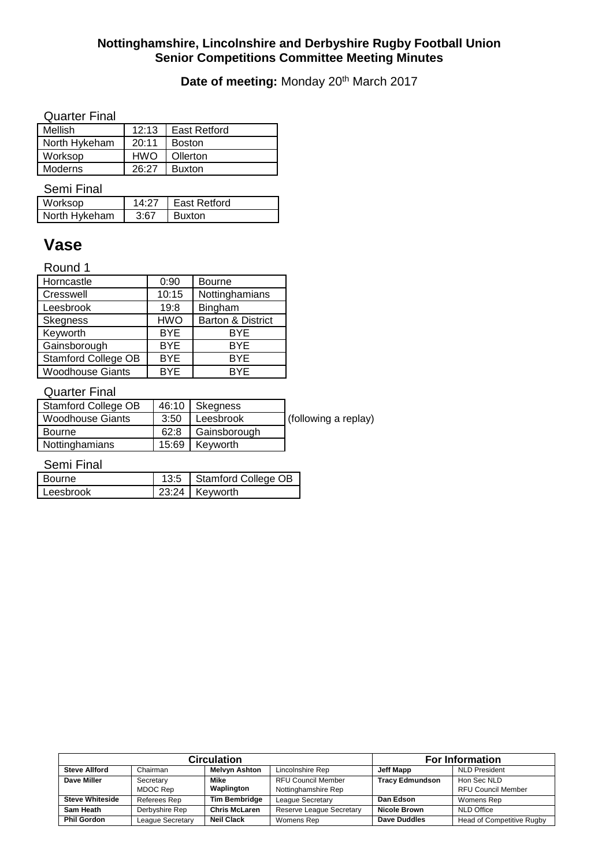## Date of meeting: Monday 20<sup>th</sup> March 2017

#### Quarter Final

| Mellish        |            | 12:13   East Retford |
|----------------|------------|----------------------|
| North Hykeham  | 20:11      | Boston               |
| Worksop        | <b>HWO</b> | Ollerton             |
| <b>Moderns</b> | 26.27      | <b>Buxton</b>        |

Semi Final

| Worksop       | 14:27 | I East Retford |
|---------------|-------|----------------|
| North Hykeham | 3.67  | <b>Buxton</b>  |

# **Vase**

Round 1

| Horncastle                 | 0:90       | <b>Bourne</b>     |
|----------------------------|------------|-------------------|
| Cresswell                  | 10:15      | Nottinghamians    |
| Leesbrook                  | 19:8       | Bingham           |
| <b>Skegness</b>            | <b>HWO</b> | Barton & District |
| Keyworth                   | <b>BYE</b> | <b>BYE</b>        |
| Gainsborough               | <b>BYE</b> | <b>BYE</b>        |
| <b>Stamford College OB</b> | <b>BYE</b> | <b>BYE</b>        |
| <b>Woodhouse Giants</b>    | <b>BYE</b> | <b>BYF</b>        |

#### Quarter Final

| Stamford College OB |      | 46:10 Skegness      |                      |
|---------------------|------|---------------------|----------------------|
| Woodhouse Giants    | 3:50 | Leesbrook           | (following a replay) |
| Bourne              |      | 62:8   Gainsborough |                      |
| Nottinghamians      |      | 15:69 Keyworth      |                      |

Semi Final

| Bourne    | 13:5   Stamford College OB |
|-----------|----------------------------|
| Leesbrook | 23:24 Keyworth             |

|                        | <b>Circulation</b> | <b>For Information</b> |                                 |                        |                           |  |
|------------------------|--------------------|------------------------|---------------------------------|------------------------|---------------------------|--|
| <b>Steve Allford</b>   | Chairman           | <b>Melvyn Ashton</b>   | Lincolnshire Rep                | Jeff Mapp              | <b>NLD President</b>      |  |
| Dave Miller            | Secretary          | Mike                   | <b>RFU Council Member</b>       | <b>Tracy Edmundson</b> | Hon Sec NLD               |  |
|                        | MDOC Rep           | Waplington             | Nottinghamshire Rep             |                        | <b>RFU Council Member</b> |  |
| <b>Steve Whiteside</b> | Referees Rep       | <b>Tim Bembridge</b>   | League Secretary                | Dan Edson              | Womens Rep                |  |
| Sam Heath              | Derbyshire Rep     | <b>Chris McLaren</b>   | <b>Reserve League Secretary</b> | <b>Nicole Brown</b>    | <b>NLD Office</b>         |  |
| <b>Phil Gordon</b>     | League Secretary   | <b>Neil Clack</b>      | Womens Rep                      | <b>Dave Duddles</b>    | Head of Competitive Rugby |  |